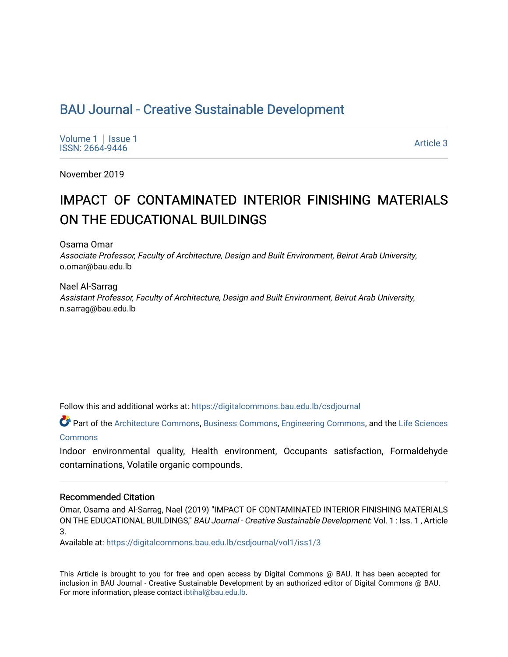# BAU Journal - Creative Sustainable Development

[Volume 1](https://digitalcommons.bau.edu.lb/csdjournal/vol1) | Issue 1<br>ISSN: 2664-9446 volume 1 | issue 1<br>ISSN: 2664-9446 Article 3

November 2019

# IMPACT OF CONTAMINATED INTERIOR FINISHING MATERIALS ON THE EDUCATIONAL BUILDINGS

Osama Omar

Associate Professor, Faculty of Architecture, Design and Built Environment, Beirut Arab University, o.omar@bau.edu.lb

Nael Al-Sarrag Assistant Professor, Faculty of Architecture, Design and Built Environment, Beirut Arab University, n.sarrag@bau.edu.lb

Follow this and additional works at: [https://digitalcommons.bau.edu.lb/csdjournal](https://digitalcommons.bau.edu.lb/csdjournal?utm_source=digitalcommons.bau.edu.lb%2Fcsdjournal%2Fvol1%2Fiss1%2F3&utm_medium=PDF&utm_campaign=PDFCoverPages) 

Part of the [Architecture Commons,](http://network.bepress.com/hgg/discipline/773?utm_source=digitalcommons.bau.edu.lb%2Fcsdjournal%2Fvol1%2Fiss1%2F3&utm_medium=PDF&utm_campaign=PDFCoverPages) [Business Commons,](http://network.bepress.com/hgg/discipline/622?utm_source=digitalcommons.bau.edu.lb%2Fcsdjournal%2Fvol1%2Fiss1%2F3&utm_medium=PDF&utm_campaign=PDFCoverPages) [Engineering Commons](http://network.bepress.com/hgg/discipline/217?utm_source=digitalcommons.bau.edu.lb%2Fcsdjournal%2Fvol1%2Fiss1%2F3&utm_medium=PDF&utm_campaign=PDFCoverPages), and the [Life Sciences](http://network.bepress.com/hgg/discipline/1016?utm_source=digitalcommons.bau.edu.lb%2Fcsdjournal%2Fvol1%2Fiss1%2F3&utm_medium=PDF&utm_campaign=PDFCoverPages)  [Commons](http://network.bepress.com/hgg/discipline/1016?utm_source=digitalcommons.bau.edu.lb%2Fcsdjournal%2Fvol1%2Fiss1%2F3&utm_medium=PDF&utm_campaign=PDFCoverPages)

Indoor environmental quality, Health environment, Occupants satisfaction, Formaldehyde contaminations, Volatile organic compounds.

### Recommended Citation

Omar, Osama and Al-Sarrag, Nael (2019) "IMPACT OF CONTAMINATED INTERIOR FINISHING MATERIALS ON THE EDUCATIONAL BUILDINGS," BAU Journal - Creative Sustainable Development: Vol. 1 : Iss. 1 , Article 3.

Available at: [https://digitalcommons.bau.edu.lb/csdjournal/vol1/iss1/3](https://digitalcommons.bau.edu.lb/csdjournal/vol1/iss1/3?utm_source=digitalcommons.bau.edu.lb%2Fcsdjournal%2Fvol1%2Fiss1%2F3&utm_medium=PDF&utm_campaign=PDFCoverPages) 

This Article is brought to you for free and open access by Digital Commons @ BAU. It has been accepted for inclusion in BAU Journal - Creative Sustainable Development by an authorized editor of Digital Commons @ BAU. For more information, please contact [ibtihal@bau.edu.lb.](mailto:ibtihal@bau.edu.lb)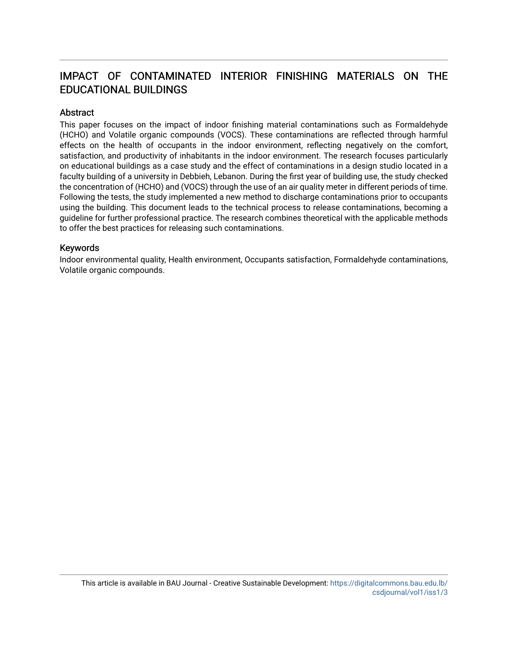# IMPACT OF CONTAMINATED INTERIOR FINISHING MATERIALS ON THE EDUCATIONAL BUILDINGS

# **Abstract**

This paper focuses on the impact of indoor finishing material contaminations such as Formaldehyde (HCHO) and Volatile organic compounds (VOCS). These contaminations are reflected through harmful effects on the health of occupants in the indoor environment, reflecting negatively on the comfort, satisfaction, and productivity of inhabitants in the indoor environment. The research focuses particularly on educational buildings as a case study and the effect of contaminations in a design studio located in a faculty building of a university in Debbieh, Lebanon. During the first year of building use, the study checked the concentration of (HCHO) and (VOCS) through the use of an air quality meter in different periods of time. Following the tests, the study implemented a new method to discharge contaminations prior to occupants using the building. This document leads to the technical process to release contaminations, becoming a guideline for further professional practice. The research combines theoretical with the applicable methods to offer the best practices for releasing such contaminations.

## Keywords

Indoor environmental quality, Health environment, Occupants satisfaction, Formaldehyde contaminations, Volatile organic compounds.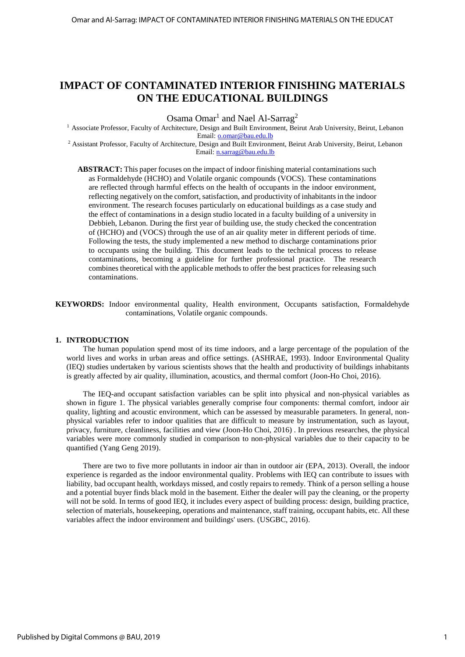# **IMPACT OF CONTAMINATED INTERIOR FINISHING MATERIALS ON THE EDUCATIONAL BUILDINGS**

Osama Omar<sup>1</sup> and Nael Al-Sarrag<sup>2</sup>

<sup>1</sup> Associate Professor, Faculty of Architecture, Design and Built Environment, Beirut Arab University, Beirut, Lebanon Email: [o.omar@bau.edu.lb](mailto:o.omar@bau.edu.lb)

<sup>2</sup> Assistant Professor, Faculty of Architecture, Design and Built Environment, Beirut Arab University, Beirut, Lebanon Email: [n.sarrag@bau.edu.lb](mailto:n.sarrag@bau.edu.lb)

**ABSTRACT:** This paper focuses on the impact of indoor finishing material contaminations such as Formaldehyde (HCHO) and Volatile organic compounds (VOCS). These contaminations are reflected through harmful effects on the health of occupants in the indoor environment, reflecting negatively on the comfort, satisfaction, and productivity of inhabitants in the indoor environment. The research focuses particularly on educational buildings as a case study and the effect of contaminations in a design studio located in a faculty building of a university in Debbieh, Lebanon. During the first year of building use, the study checked the concentration of (HCHO) and (VOCS) through the use of an air quality meter in different periods of time. Following the tests, the study implemented a new method to discharge contaminations prior to occupants using the building. This document leads to the technical process to release contaminations, becoming a guideline for further professional practice. The research combines theoretical with the applicable methods to offer the best practices for releasing such contaminations.

**KEYWORDS:** Indoor environmental quality, Health environment, Occupants satisfaction, Formaldehyde contaminations, Volatile organic compounds.

#### **1. INTRODUCTION**

The human population spend most of its time indoors, and a large percentage of the population of the world lives and works in urban areas and office settings. (ASHRAE, 1993). Indoor Environmental Quality (IEQ) studies undertaken by various scientists shows that the health and productivity of buildings inhabitants is greatly affected by air quality, illumination, acoustics, and thermal comfort (Joon-Ho Choi, 2016).

The IEQ-and occupant satisfaction variables can be split into physical and non-physical variables as shown in figure 1. The physical variables generally comprise four components: thermal comfort, indoor air quality, lighting and acoustic environment, which can be assessed by measurable parameters. In general, nonphysical variables refer to indoor qualities that are difficult to measure by instrumentation, such as layout, privacy, furniture, cleanliness, facilities and view (Joon-Ho Choi, 2016) . In previous researches, the physical variables were more commonly studied in comparison to non-physical variables due to their capacity to be quantified (Yang Geng 2019).

There are two to five more pollutants in indoor air than in outdoor air (EPA, 2013). Overall, the indoor experience is regarded as the indoor environmental quality. Problems with IEQ can contribute to issues with liability, bad occupant health, workdays missed, and costly repairs to remedy. Think of a person selling a house and a potential buyer finds black mold in the basement. Either the dealer will pay the cleaning, or the property will not be sold. In terms of good IEQ, it includes every aspect of building process: design, building practice, selection of materials, housekeeping, operations and maintenance, staff training, occupant habits, etc. All these variables affect the indoor environment and buildings' users. (USGBC, 2016).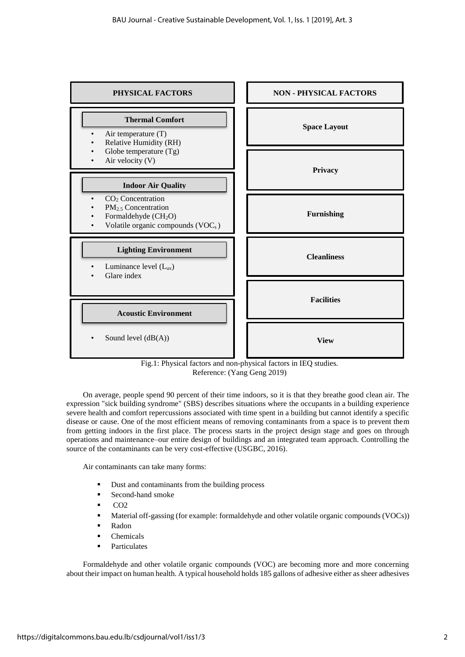

Fig.1: Physical factors and non-physical factors in IEQ studies. Reference: (Yang Geng 2019)

On average, people spend 90 percent of their time indoors, so it is that they breathe good clean air. The expression "sick building syndrome" (SBS) describes situations where the occupants in a building experience severe health and comfort repercussions associated with time spent in a building but cannot identify a specific disease or cause. One of the most efficient means of removing contaminants from a space is to prevent them from getting indoors in the first place. The process starts in the project design stage and goes on through operations and maintenance–our entire design of buildings and an integrated team approach. Controlling the source of the contaminants can be very cost-effective (USGBC, 2016).

Air contaminants can take many forms:

- Dust and contaminants from the building process
- **Second-hand smoke**
- $\overline{CO2}$
- **Material off-gassing (for example: formaldehyde and other volatile organic compounds (VOCs))**
- Radon
- Chemicals
- Particulates

Formaldehyde and other volatile organic compounds (VOC) are becoming more and more concerning about their impact on human health. A typical household holds 185 gallons of adhesive either as sheer adhesives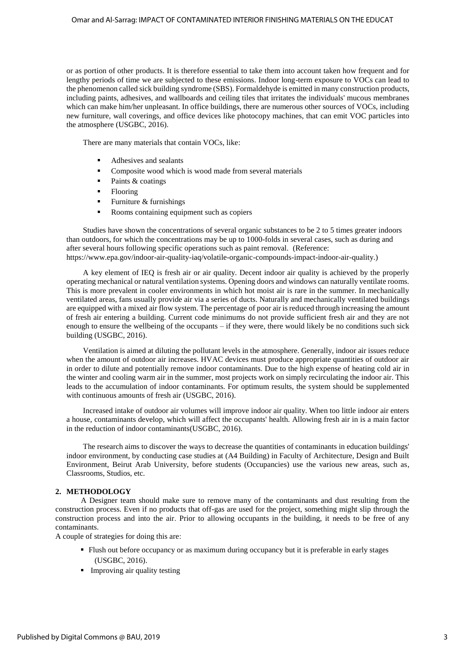or as portion of other products. It is therefore essential to take them into account taken how frequent and for lengthy periods of time we are subjected to these emissions. Indoor long-term exposure to VOCs can lead to the phenomenon called sick building syndrome (SBS). Formaldehyde is emitted in many construction products, including paints, adhesives, and wallboards and ceiling tiles that irritates the individuals' mucous membranes which can make him/her unpleasant. In office buildings, there are numerous other sources of VOCs, including new furniture, wall coverings, and office devices like photocopy machines, that can emit VOC particles into the atmosphere (USGBC, 2016).

There are many materials that contain VOCs, like:

- Adhesives and sealants
- Composite wood which is wood made from several materials
- $\blacksquare$  Paints & coatings
- Flooring
- Furniture & furnishings
- Rooms containing equipment such as copiers

Studies have shown the concentrations of several organic substances to be 2 to 5 times greater indoors than outdoors, for which the concentrations may be up to 1000-folds in several cases, such as during and after several hours following specific operations such as paint removal. (Reference: https://www.epa.gov/indoor-air-quality-iaq/volatile-organic-compounds-impact-indoor-air-quality.)

A key element of IEQ is fresh air or air quality. Decent indoor air quality is achieved by the properly operating mechanical or natural ventilation systems. Opening doors and windows can naturally ventilate rooms. This is more prevalent in cooler environments in which hot moist air is rare in the summer. In mechanically ventilated areas, fans usually provide air via a series of ducts. Naturally and mechanically ventilated buildings are equipped with a mixed air flow system. The percentage of poor air is reduced through increasing the amount of fresh air entering a building. Current code minimums do not provide sufficient fresh air and they are not enough to ensure the wellbeing of the occupants – if they were, there would likely be no conditions such sick building (USGBC, 2016).

Ventilation is aimed at diluting the pollutant levels in the atmosphere. Generally, indoor air issues reduce when the amount of outdoor air increases. HVAC devices must produce appropriate quantities of outdoor air in order to dilute and potentially remove indoor contaminants. Due to the high expense of heating cold air in the winter and cooling warm air in the summer, most projects work on simply recirculating the indoor air. This leads to the accumulation of indoor contaminants. For optimum results, the system should be supplemented with continuous amounts of fresh air (USGBC, 2016).

Increased intake of outdoor air volumes will improve indoor air quality. When too little indoor air enters a house, contaminants develop, which will affect the occupants' health. Allowing fresh air in is a main factor in the reduction of indoor contaminants(USGBC, 2016).

The research aims to discover the ways to decrease the quantities of contaminants in education buildings' indoor environment, by conducting case studies at (A4 Building) in Faculty of Architecture, Design and Built Environment, Beirut Arab University, before students (Occupancies) use the various new areas, such as, Classrooms, Studios, etc.

#### **2. METHODOLOGY**

 A Designer team should make sure to remove many of the contaminants and dust resulting from the construction process. Even if no products that off-gas are used for the project, something might slip through the construction process and into the air*.* Prior to allowing occupants in the building, it needs to be free of any contaminants.

A couple of strategies for doing this are*:*

- Flush out before occupancy or as maximum during occupancy but it is preferable in early stages (USGBC, 2016).
- **Improving air quality testing**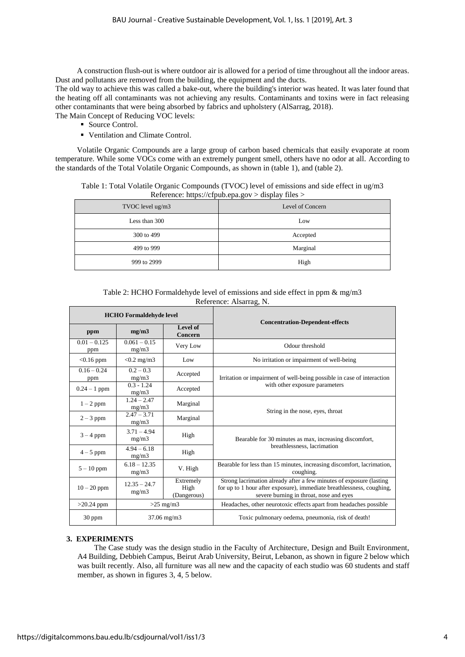A construction flush-out is where outdoor air is allowed for a period of time throughout all the indoor areas. Dust and pollutants are removed from the building, the equipment and the ducts.

The old way to achieve this was called a bake-out, where the building's interior was heated. It was later found that the heating off all contaminants was not achieving any results. Contaminants and toxins were in fact releasing other contaminants that were being absorbed by fabrics and upholstery (AlSarrag, 2018).

The Main Concept of Reducing VOC levels:

- Source Control.
- Ventilation and Climate Control.

 Volatile Organic Compounds are a large group of carbon based chemicals that easily evaporate at room temperature. While some VOCs come with an extremely pungent smell, others have no odor at all. According to the standards of the Total Volatile Organic Compounds, as shown in (table 1), and (table 2).

| Table 1: Total Volatile Organic Compounds (TVOC) level of emissions and side effect in ug/m3 |  |
|----------------------------------------------------------------------------------------------|--|
| Reference: https://cfpub.epa.gov > display files >                                           |  |

| TVOC level ug/m3 | Level of Concern |
|------------------|------------------|
| Less than 300    | Low              |
| 300 to 499       | Accepted         |
| 499 to 999       | Marginal         |
| 999 to 2999      | High             |

Table 2: HCHO Formaldehyde level of emissions and side effect in ppm & mg/m3 Reference: Alsarrag, N.

|                       | <b>HCHO</b> Formaldehyde level                              |                     | <b>Concentration-Dependent-effects</b>                                                                                                                                                  |
|-----------------------|-------------------------------------------------------------|---------------------|-----------------------------------------------------------------------------------------------------------------------------------------------------------------------------------------|
| ppm                   | mg/m3                                                       | Level of<br>Concern |                                                                                                                                                                                         |
| $0.01 - 0.125$<br>ppm | $0.061 - 0.15$<br>mg/m3                                     | Very Low            | Odour threshold                                                                                                                                                                         |
| $< 0.16$ ppm          | $< 0.2$ mg/m3                                               | Low                 | No irritation or impairment of well-being                                                                                                                                               |
| $0.16 - 0.24$<br>ppm  | $0.2 - 0.3$<br>mg/m3                                        | Accepted            | Irritation or impairment of well-being possible in case of interaction                                                                                                                  |
| $0.24 - 1$ ppm        | $0.3 - 1.24$<br>mg/m3                                       | Accepted            | with other exposure parameters                                                                                                                                                          |
| $1-2$ ppm             | $1.24 - 2.47$<br>mg/m3                                      | Marginal            | String in the nose, eyes, throat                                                                                                                                                        |
| $2 - 3$ ppm           | $2.47 - 3.71$<br>mg/m3                                      | Marginal            |                                                                                                                                                                                         |
| $3 - 4$ ppm           | $3.71 - 4.94$<br>mg/m3                                      | High                | Bearable for 30 minutes as max, increasing discomfort,                                                                                                                                  |
| $4-5$ ppm             | $4.94 - 6.18$<br>mg/m3                                      | High                | breathlessness, lacrimation                                                                                                                                                             |
| $5-10$ ppm            | $6.18 - 12.35$<br>mg/m3                                     | V. High             | Bearable for less than 15 minutes, increasing discomfort, lacrimation,<br>coughing.                                                                                                     |
| $10 - 20$ ppm         | Extremely<br>$12.35 - 24.7$<br>High<br>mg/m3<br>(Dangerous) |                     | Strong lacrimation already after a few minutes of exposure (lasting<br>for up to 1 hour after exposure), immediate breathlessness, coughing,<br>severe burning in throat, nose and eyes |
| $>20.24$ ppm          |                                                             | $>25$ mg/m3         | Headaches, other neurotoxic effects apart from headaches possible                                                                                                                       |
| $30$ ppm              | $37.06$ mg/m $3$                                            |                     | Toxic pulmonary oedema, pneumonia, risk of death!                                                                                                                                       |

#### **3. EXPERIMENTS**

The Case study was the design studio in the Faculty of Architecture, Design and Built Environment, A4 Building, Debbieh Campus, Beirut Arab University, Beirut, Lebanon, as shown in figure 2 below which was built recently. Also, all furniture was all new and the capacity of each studio was 60 students and staff member, as shown in figures 3, 4, 5 below.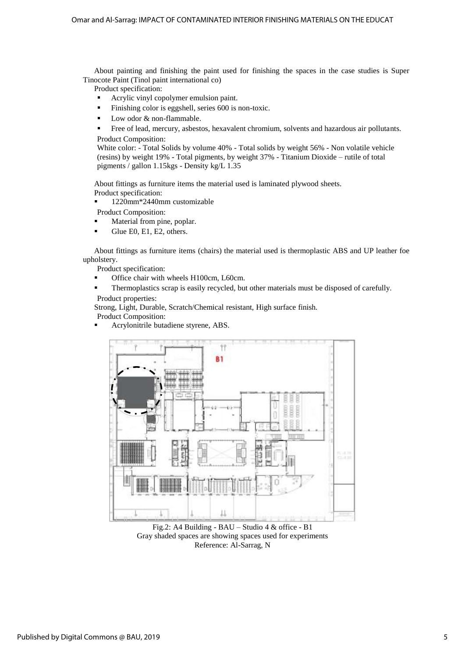About painting and finishing the paint used for finishing the spaces in the case studies is Super Tinocote Paint (Tinol paint international co)

Product specification:

- Acrylic vinyl copolymer emulsion paint.
- Finishing color is eggshell, series 600 is non-toxic.
- Low odor & non-flammable.
- Free of lead, mercury, asbestos, hexavalent chromium, solvents and hazardous air pollutants. Product Composition:

White color: - Total Solids by volume 40% - Total solids by weight 56% - Non volatile vehicle (resins) by weight 19% - Total pigments, by weight 37% - Titanium Dioxide – rutile of total pigments / gallon 1.15kgs - Density kg/L 1.35

About fittings as furniture items the material used is laminated plywood sheets. Product specification:

1220mm\*2440mm customizable

Product Composition:

- Material from pine, poplar.
- Glue E0, E1, E2, others.

About fittings as furniture items (chairs) the material used is thermoplastic ABS and UP leather foe upholstery.

- Product specification:
- Office chair with wheels H100cm, L60cm.
- Thermoplastics scrap is easily recycled, but other materials must be disposed of carefully. Product properties:

Strong, Light, Durable, Scratch/Chemical resistant, High surface finish. Product Composition:

Acrylonitrile butadiene styrene, ABS.



Fig.2: A4 Building - BAU – Studio 4 & office - B1 Gray shaded spaces are showing spaces used for experiments Reference: Al-Sarrag, N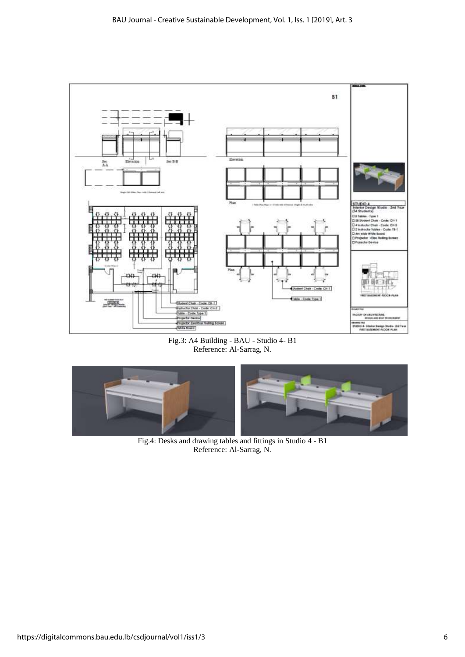

Fig.3: A4 Building - BAU - Studio 4- B1 Reference: Al-Sarrag, N.



Fig.4: Desks and drawing tables and fittings in Studio 4 - B1 Reference: Al-Sarrag, N.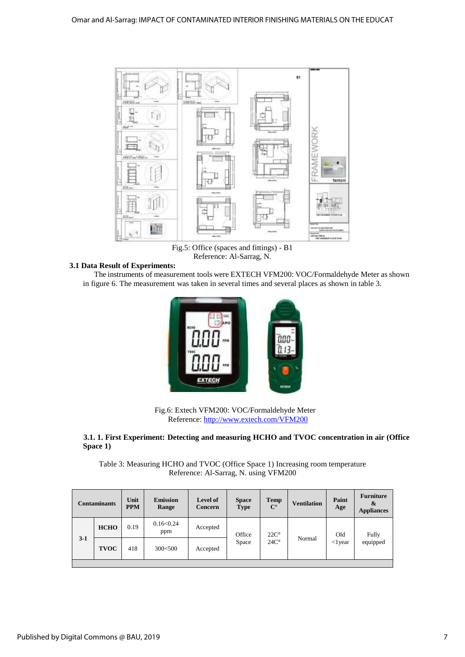

Fig.5: Office (spaces and fittings) - B1 Reference: Al-Sarrag, N.

## **3.1 Data Result of Experiments:**

The instruments of measurement tools were EXTECH VFM200: VOC/Formaldehyde Meter as shown in figure 6. The measurement was taken in several times and several places as shown in table 3.



Fig.6: Extech VFM200: VOC/Formaldehyde Meter Reference:<http://www.extech.com/VFM200>

#### **3.1. 1. First Experiment: Detecting and measuring HCHO and TVOC concentration in air (Office Space 1)**

Table 3: Measuring HCHO and TVOC (Office Space 1) Increasing room temperature Reference: Al-Sarrag, N. using VFM200

|       | <b>Contaminants</b> | Unit<br><b>PPM</b> | <b>Emission</b><br>Range | <b>Level of</b><br>Concern | <b>Space</b><br><b>Type</b> | <b>Temp</b><br>$\mathbf{C}^{\circ}$ | <b>Ventilation</b> | Paint<br>Age     | <b>Furniture</b><br>&<br><b>Appliances</b> |
|-------|---------------------|--------------------|--------------------------|----------------------------|-----------------------------|-------------------------------------|--------------------|------------------|--------------------------------------------|
| $3-1$ | <b>HCHO</b>         | 0.19               | 0.16<0.24<br>ppm         | Accepted                   | Office                      | $22C^{\circ}$                       |                    | Old              | Fully                                      |
|       | <b>TVOC</b>         | 418                | 300<500                  | Accepted                   | Space                       | $24C^{\circ}$                       | Normal             | $\langle$ 1 year | equipped                                   |
|       |                     |                    |                          |                            |                             |                                     |                    |                  |                                            |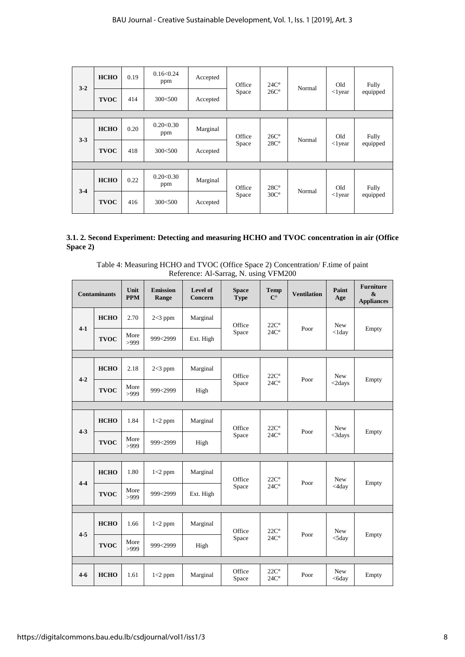| $3 - 2$ | <b>HCHO</b> | 0.19 | 0.16<0.24<br>ppm | Accepted | Office | $24C^{\circ}$                  | Normal | Old<br>$<$ lyear  | Fully<br>equipped |
|---------|-------------|------|------------------|----------|--------|--------------------------------|--------|-------------------|-------------------|
|         | <b>TVOC</b> | 414  | 300<500          | Accepted | Space  | $26C^{\circ}$                  |        |                   |                   |
|         |             |      |                  |          |        |                                |        |                   |                   |
| $3 - 3$ | <b>HCHO</b> | 0.20 | 0.20<0.30<br>ppm | Marginal | Office | $26C^{\circ}$<br>$28C^{\circ}$ | Normal | Old<br>$<$ l year | Fully<br>equipped |
|         | <b>TVOC</b> | 418  | 300<500          | Accepted | Space  |                                |        |                   |                   |
|         |             |      |                  |          |        |                                |        |                   |                   |
|         | <b>HCHO</b> | 0.22 | 0.20<0.30<br>ppm | Marginal | Office | $28C^{\circ}$                  | Normal | Old               | Fully             |
| $3-4$   | <b>TVOC</b> | 416  | 300<500          | Accepted | Space  | $30C^{\circ}$                  |        | $\langle$ 1 year  | equipped          |

### **3.1. 2. Second Experiment: Detecting and measuring HCHO and TVOC concentration in air (Office Space 2)**

Table 4: Measuring HCHO and TVOC (Office Space 2) Concentration/ F.time of paint Reference: Al-Sarrag, N. using VFM200

|         | <b>Contaminants</b> | Unit<br><b>PPM</b> | <b>Emission</b><br>Range | Level of<br>Concern | <b>Space</b><br><b>Type</b> | <b>Temp</b><br>$\mathbf{C}^{\circ}$ | <b>Ventilation</b> | Paint<br>Age            | <b>Furniture</b><br>$\mathbf{x}$<br><b>Appliances</b> |
|---------|---------------------|--------------------|--------------------------|---------------------|-----------------------------|-------------------------------------|--------------------|-------------------------|-------------------------------------------------------|
|         | <b>HCHO</b>         | 2.70               | $2<3$ ppm                | Marginal            | Office                      | $22C^{\circ}$                       |                    | New                     |                                                       |
| $4-1$   | <b>TVOC</b>         | More<br>>999       | 999<2999                 | Ext. High           | Space                       | $24C^{\circ}$                       | Poor               | $<$ 1day                | Empty                                                 |
|         |                     |                    |                          |                     |                             |                                     |                    |                         |                                                       |
| $4 - 2$ | <b>HCHO</b>         | 2.18               | $2<3$ ppm                | Marginal            | Office                      | $22C^{\circ}$                       |                    | <b>New</b>              |                                                       |
|         | <b>TVOC</b>         | More<br>>999       | 999<2999                 | High                | Space                       | $24C^{\circ}$                       | Poor               | $<$ 2days               | Empty                                                 |
|         |                     |                    |                          |                     |                             |                                     |                    |                         |                                                       |
| $4 - 3$ | <b>HCHO</b>         | 1.84               | $1<2$ ppm                | Marginal            | Office                      | $22C^{\circ}$<br>$24C^{\circ}$      | Poor               | <b>New</b><br>$<$ 3days | Empty                                                 |
|         | <b>TVOC</b>         | More<br>>999       | 999<2999                 | High                | Space                       |                                     |                    |                         |                                                       |
|         |                     |                    |                          |                     |                             |                                     |                    |                         |                                                       |
| $4 - 4$ | <b>HCHO</b>         | 1.80               | $1<2$ ppm                | Marginal            | Office                      | $22C^{\circ}$                       |                    | <b>New</b><br><4day     | Empty                                                 |
|         | <b>TVOC</b>         | More<br>>999       | 999<2999                 | Ext. High           | Space                       | $24C^{\circ}$                       | Poor               |                         |                                                       |
|         |                     |                    |                          |                     |                             |                                     |                    |                         |                                                       |
|         | <b>HCHO</b>         | 1.66               | $1<2$ ppm                | Marginal            | Office                      | $22C^{\circ}$                       | Poor               | <b>New</b>              |                                                       |
| $4 - 5$ | <b>TVOC</b>         | More<br>>999       | 999<2999                 | High                | Space                       | $24C^{\circ}$                       |                    | $<$ 5 $day$             | Empty                                                 |
|         |                     |                    |                          |                     |                             |                                     |                    |                         |                                                       |
| $4-6$   | <b>HCHO</b>         | 1.61               | $1<2$ ppm                | Marginal            | Office<br>Space             | $22C^{\circ}$<br>$24C^{\circ}$      | Poor               | New<br>$<$ 6 $day$      | Empty                                                 |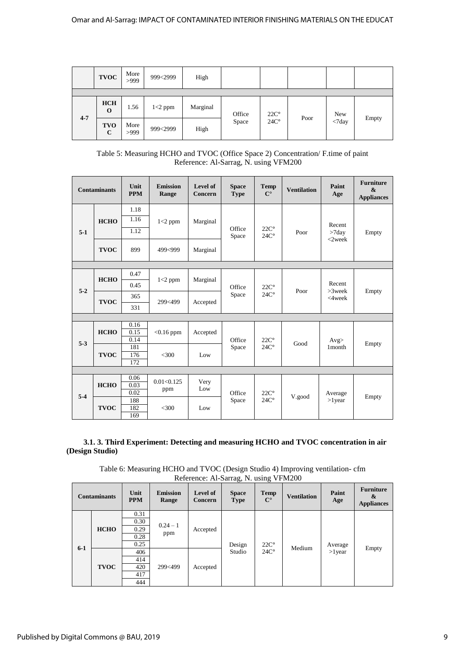|         | <b>TVOC</b>               | More<br>>999 | 999<2999  | High     |        |               |      |                              |       |
|---------|---------------------------|--------------|-----------|----------|--------|---------------|------|------------------------------|-------|
|         |                           |              |           |          |        |               |      |                              |       |
|         | <b>HCH</b><br>O           | 1.56         | $1<2$ ppm | Marginal | Office | $22C^{\circ}$ |      | New                          |       |
| $4 - 7$ | <b>TVO</b><br>$\mathbf C$ | More<br>>999 | 999<2999  | High     | Space  | $24C^{\circ}$ | Poor | $\langle \text{7day}\rangle$ | Empty |

Table 5: Measuring HCHO and TVOC (Office Space 2) Concentration/ F.time of paint Reference: Al-Sarrag, N. using VFM200

|         | <b>Contaminants</b> | Unit<br><b>PPM</b>   | <b>Emission</b><br>Range | Level of<br>Concern | <b>Space</b><br><b>Type</b> | <b>Temp</b><br>$\mathbf{C}^{\circ}$ | <b>Ventilation</b> | Paint<br>Age                     | <b>Furniture</b><br>$\mathbf{\&}$<br><b>Appliances</b> |  |
|---------|---------------------|----------------------|--------------------------|---------------------|-----------------------------|-------------------------------------|--------------------|----------------------------------|--------------------------------------------------------|--|
| $5-1$   | <b>HCHO</b>         | 1.18<br>1.16<br>1.12 | $1<2$ ppm                | Marginal            | Office<br>Space             | $22C^{\circ}$<br>$24C^{\circ}$      | Poor               | Recent<br>$>7$ day<br>$< 2$ week | Empty                                                  |  |
|         | <b>TVOC</b>         | 899                  | 499<999                  | Marginal            |                             |                                     |                    |                                  |                                                        |  |
|         |                     |                      |                          |                     |                             |                                     |                    |                                  |                                                        |  |
|         | <b>HCHO</b>         | 0.47                 | $1<2$ ppm                | Marginal            | $22C^{\circ}$<br>Office     |                                     |                    |                                  |                                                        |  |
|         |                     | 0.45                 |                          |                     |                             |                                     | Recent             |                                  |                                                        |  |
| $5 - 2$ |                     | 365                  |                          |                     | Space                       | $24C^{\circ}$                       | Poor               | $>3$ week<br>$<$ 4week           | Empty                                                  |  |
|         | <b>TVOC</b>         | 331                  | 299<499                  | Accepted            |                             |                                     |                    |                                  |                                                        |  |
|         |                     |                      |                          |                     |                             |                                     |                    |                                  |                                                        |  |
| $5 - 3$ | <b>HCHO</b>         | 0.16<br>0.15<br>0.14 | $<$ 0.16 ppm             | Accepted            | Office                      | $22C^{\circ}$                       | Good               | Avg                              | Empty                                                  |  |
|         | <b>TVOC</b>         | 181<br>176<br>172    | $<$ 300                  | Low                 | Space                       | $24C^{\circ}$                       |                    | 1 month                          |                                                        |  |
|         |                     |                      |                          |                     |                             |                                     |                    |                                  |                                                        |  |
|         | <b>HCHO</b>         | 0.06<br>0.03<br>0.02 | 0.01<0.125<br>ppm        | Very<br>Low         | Office                      | $22C^{\circ}$                       | V.good             | Average<br>$>1$ year             |                                                        |  |
| $5-4$   | <b>TVOC</b>         | 188<br>182<br>169    | $<$ 300                  | Low                 | Space                       | $24C^{\circ}$                       |                    |                                  | Empty                                                  |  |

 **3.1. 3. Third Experiment: Detecting and measuring HCHO and TVOC concentration in air (Design Studio)** 

Table 6: Measuring HCHO and TVOC (Design Studio 4) Improving ventilation- cfm Reference: Al-Sarrag, N. using VFM200

|         | <b>Contaminants</b> | Unit<br><b>PPM</b>                   | <b>Emission</b><br>Range | Level of<br>Concern | <b>Space</b><br><b>Type</b> | <b>Temp</b><br>$\mathbf{C}^{\circ}$ | <b>Ventilation</b> | Paint<br>Age | <b>Furniture</b><br>&<br><b>Appliances</b> |
|---------|---------------------|--------------------------------------|--------------------------|---------------------|-----------------------------|-------------------------------------|--------------------|--------------|--------------------------------------------|
| $6 - 1$ | <b>HCHO</b>         | 0.31<br>0.30<br>0.29<br>0.28<br>0.25 | $0.24 - 1$<br>ppm        | Accepted            | Design                      | $22C^{\circ}$                       | Medium             | Average      |                                            |
|         | <b>TVOC</b>         | 406<br>414<br>420<br>417<br>444      | 299<499                  | Accepted            | Studio                      | $24C^{\circ}$                       |                    | $>1$ year    | Empty                                      |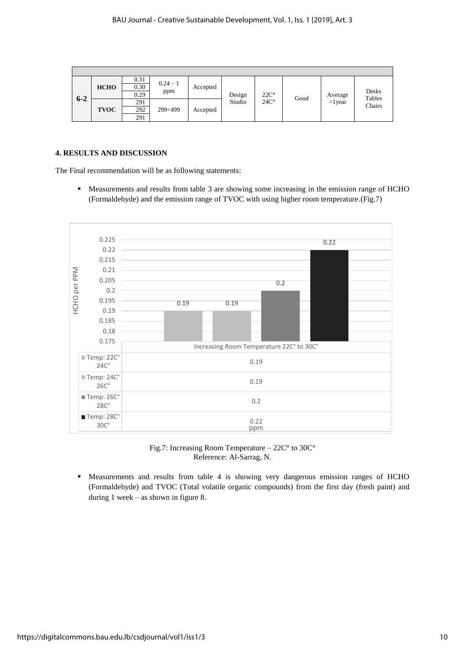| $6 - 2$ | <b>HCHO</b> | 0.31<br>0.30<br>0.29 | $0.24 - 1$<br>ppm | Accepted | Design | $22C^{\circ}$ | Good | Average   | Desks<br>Tables |
|---------|-------------|----------------------|-------------------|----------|--------|---------------|------|-----------|-----------------|
|         | <b>TVOC</b> | 291<br>292<br>291    | 299<499           | Accepted | Studio | $24C^{\circ}$ |      | $>1$ year | Chairs          |

#### **4. RESULTS AND DISCUSSION**

The Final recommendation will be as following statements:

 Measurements and results from table 3 are showing some increasing in the emission range of HCHO (Formaldehyde) and the emission range of TVOC with using higher room temperature.(Fig.7)



Fig.7: Increasing Room Temperature – 22C**°** to 30C° Reference: Al-Sarrag, N.

**•** Measurements and results from table 4 is showing very dangerous emission ranges of HCHO (Formaldehyde) and TVOC (Total volatile organic compounds) from the first day (fresh paint) and during 1 week – as shown in figure 8.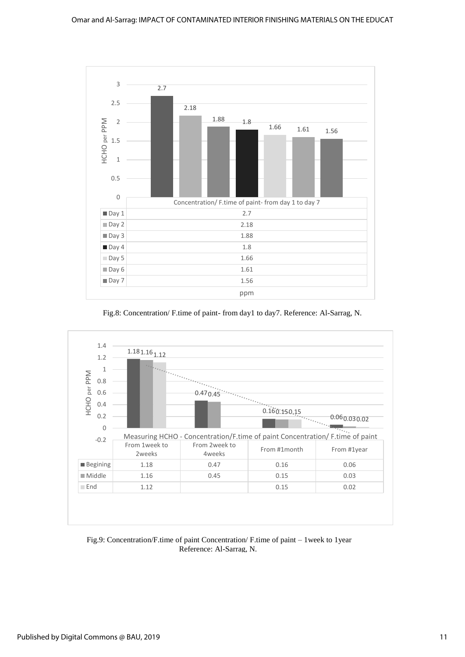

Fig.8: Concentration/ F.time of paint- from day1 to day7. Reference: Al-Sarrag, N.



Fig.9: Concentration/F.time of paint Concentration/ F.time of paint – 1week to 1year Reference: Al-Sarrag, N.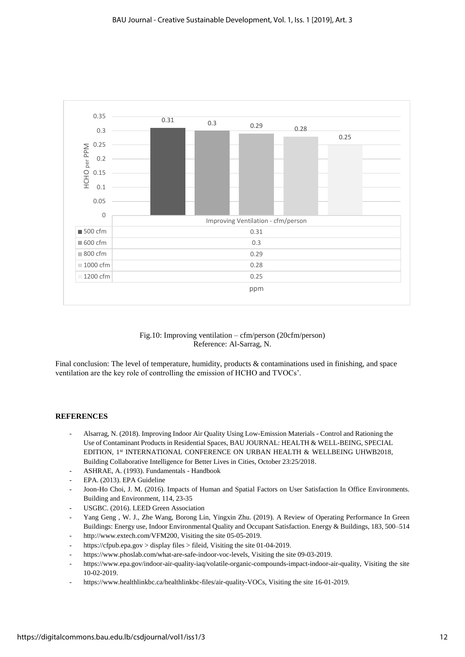

Fig.10: Improving ventilation – cfm/person (20cfm/person) Reference: Al-Sarrag, N.

Final conclusion: The level of temperature, humidity, products & contaminations used in finishing, and space ventilation are the key role of controlling the emission of HCHO and TVOCs'.

#### **REFERENCES**

- Alsarrag, N. (2018). Improving Indoor Air Quality Using Low-Emission Materials Control and Rationing the Use of Contaminant Products in Residential Spaces, BAU JOURNAL: HEALTH & WELL-BEING, SPECIAL EDITION, 1st INTERNATIONAL CONFERENCE ON URBAN HEALTH & WELLBEING UHWB2018, Building Collaborative Intelligence for Better Lives in Cities, October 23:25/2018.
- ASHRAE, A. (1993). Fundamentals Handbook
- EPA. (2013). EPA Guideline
- Joon-Ho Choi, J. M. (2016). Impacts of Human and Spatial Factors on User Satisfaction In Office Environments. Building and Environment, 114, 23-35
- USGBC. (2016). LEED Green Association
- Yang Geng, W. J., Zhe Wang, Borong Lin, Yingxin Zhu. (2019). A Review of Operating Performance In Green Buildings: Energy use, Indoor Environmental Quality and Occupant Satisfaction. Energy & Buildings, 183, 500–514 - [http://www.extech.com/VFM200,](http://www.extech.com/VFM200) Visiting the site 05-05-2019.
- https://cfpub.epa.gov > display files > fileid, Visiting the site 01-04-2019.
- [https://www.phoslab.com/what-are-safe-indoor-voc-levels,](https://www.phoslab.com/what-are-safe-indoor-voc-levels) Visiting the site 09-03-2019.
- [https://www.epa.gov/indoor-air-quality-iaq/volatile-organic-compounds-impact-indoor-air-quality,](https://www.epa.gov/indoor-air-quality-iaq/volatile-organic-compounds-impact-indoor-air-quality) Visiting the site 10-02-2019.
- [https://www.healthlinkbc.ca/healthlinkbc-files/air-quality-VOCs,](https://www.healthlinkbc.ca/healthlinkbc-files/air-quality-VOCs) Visiting the site 16-01-2019.